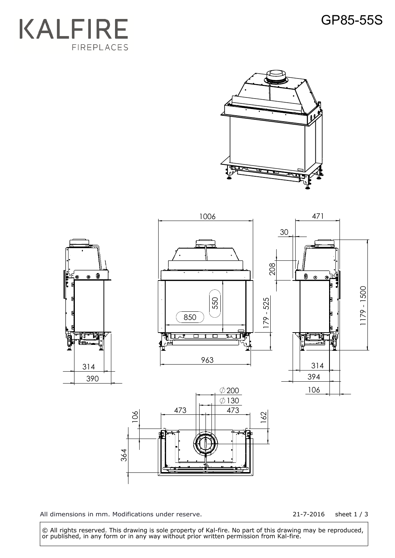## GP85-55S







All dimensions in mm. Modifications under reserve.

21-7-2016 sheet 1 / 3

 © All rights reserved. This drawing is sole property of Kal-fire. No part of this drawing may be reproduced, or published, in any form or in any way without prior written permission from Kal-fire.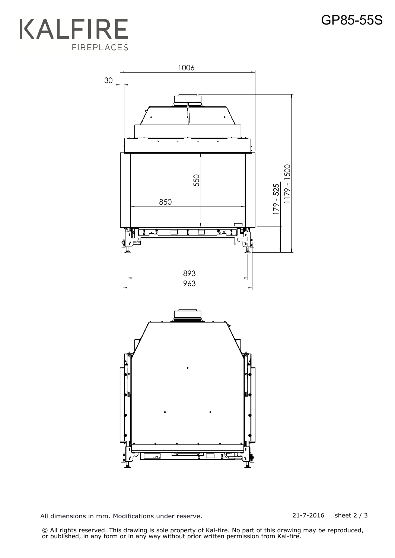



All dimensions in mm. Modifications under reserve. 21-7-2016 sheet 2 / 3

 © All rights reserved. This drawing is sole property of Kal-fire. No part of this drawing may be reproduced, or published, in any form or in any way without prior written permission from Kal-fire.